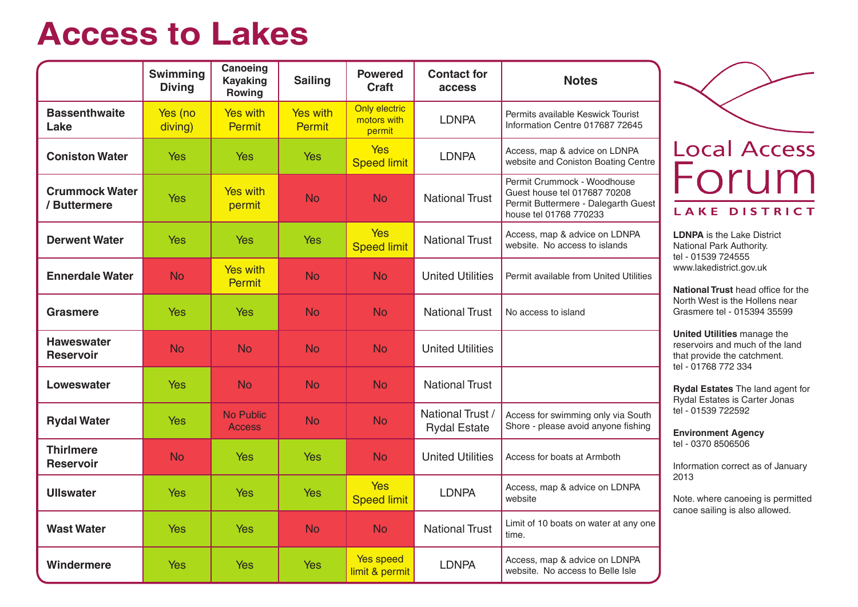# **Access to Lakes**

|                                       | <b>Swimming</b><br><b>Diving</b> | Canoeing<br><b>Kayaking</b><br>Rowing | <b>Sailing</b>                   | <b>Powered</b><br><b>Craft</b>         | <b>Contact for</b><br>access            | <b>Notes</b>                                                                                                                 |
|---------------------------------------|----------------------------------|---------------------------------------|----------------------------------|----------------------------------------|-----------------------------------------|------------------------------------------------------------------------------------------------------------------------------|
| <b>Bassenthwaite</b><br>Lake          | Yes (no<br>diving)               | <b>Yes with</b><br><b>Permit</b>      | <b>Yes with</b><br><b>Permit</b> | Only electric<br>motors with<br>permit | <b>LDNPA</b>                            | Permits available Keswick Tourist<br>Information Centre 017687 72645                                                         |
| <b>Coniston Water</b>                 | <b>Yes</b>                       | <b>Yes</b>                            | <b>Yes</b>                       | <b>Yes</b><br><b>Speed limit</b>       | <b>LDNPA</b>                            | Access, map & advice on LDNPA<br>website and Coniston Boating Centre                                                         |
| <b>Crummock Water</b><br>/ Buttermere | <b>Yes</b>                       | Yes with<br>permit                    | <b>No</b>                        | <b>No</b>                              | <b>National Trust</b>                   | Permit Crummock - Woodhouse<br>Guest house tel 017687 70208<br>Permit Buttermere - Dalegarth Guest<br>house tel 01768 770233 |
| <b>Derwent Water</b>                  | Yes                              | <b>Yes</b>                            | <b>Yes</b>                       | <b>Yes</b><br><b>Speed limit</b>       | <b>National Trust</b>                   | Access, map & advice on LDNPA<br>website. No access to islands                                                               |
| <b>Ennerdale Water</b>                | <b>No</b>                        | <b>Yes with</b><br><b>Permit</b>      | <b>No</b>                        | <b>No</b>                              | <b>United Utilities</b>                 | Permit available from United Utilities                                                                                       |
| Grasmere                              | <b>Yes</b>                       | <b>Yes</b>                            | <b>No</b>                        | <b>No</b>                              | <b>National Trust</b>                   | No access to island                                                                                                          |
| <b>Haweswater</b><br><b>Reservoir</b> | <b>No</b>                        | <b>No</b>                             | <b>No</b>                        | <b>No</b>                              | <b>United Utilities</b>                 |                                                                                                                              |
| Loweswater                            | Yes                              | <b>No</b>                             | <b>No</b>                        | <b>No</b>                              | <b>National Trust</b>                   |                                                                                                                              |
| <b>Rydal Water</b>                    | <b>Yes</b>                       | <b>No Public</b><br><b>Access</b>     | <b>No</b>                        | <b>No</b>                              | National Trust /<br><b>Rydal Estate</b> | Access for swimming only via South<br>Shore - please avoid anyone fishing                                                    |
| <b>Thirlmere</b><br><b>Reservoir</b>  | <b>No</b>                        | <b>Yes</b>                            | <b>Yes</b>                       | <b>No</b>                              | <b>United Utilities</b>                 | Access for boats at Armboth                                                                                                  |
| <b>Ullswater</b>                      | <b>Yes</b>                       | <b>Yes</b>                            | <b>Yes</b>                       | <b>Yes</b><br><b>Speed limit</b>       | <b>LDNPA</b>                            | Access, map & advice on LDNPA<br>website                                                                                     |
| <b>Wast Water</b>                     | <b>Yes</b>                       | <b>Yes</b>                            | <b>No</b>                        | <b>No</b>                              | <b>National Trust</b>                   | Limit of 10 boats on water at any one<br>time.                                                                               |
| Windermere                            | <b>Yes</b>                       | <b>Yes</b>                            | <b>Yes</b>                       | Yes speed<br>limit & permit            | <b>LDNPA</b>                            | Access, map & advice on LDNPA<br>website. No access to Belle Isle                                                            |

# ocal Access um AKE DISTRICT

**JPA** is the Lake District ional Park Authority. 01539 724555 w.lakedistrict.gov.uk

**Ional Trust** head office for the th West is the Hollens near smere tel - 015394 35599

**United Utilities** manage the ervoirs and much of the land provide the catchment. 01768 772 334

**Rydal Estates** The land agent for lal Estates is Carter Jonas 01539 722592

**Environment Agency** tel - 0370 8506506

rmation correct as of January  $\overline{3}$ 

e. where canoeing is permitted oe sailing is also allowed.